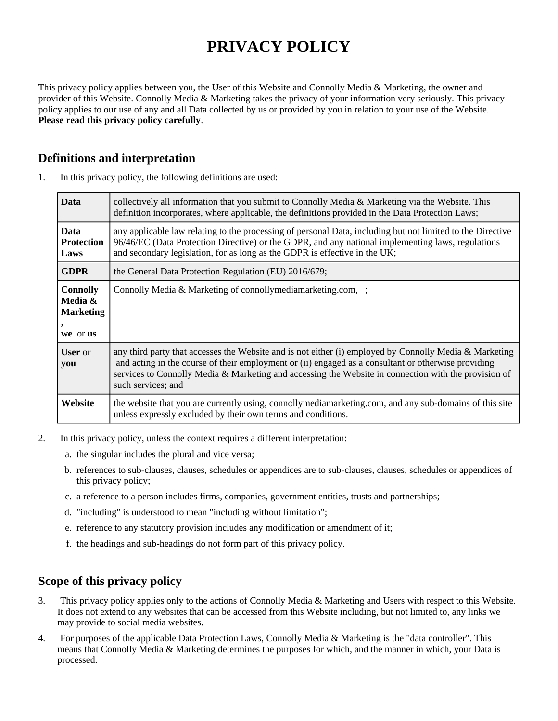# **PRIVACY POLICY**

This privacy policy applies between you, the User of this Website and Connolly Media & Marketing, the owner and provider of this Website. Connolly Media & Marketing takes the privacy of your information very seriously. This privacy policy applies to our use of any and all Data collected by us or provided by you in relation to your use of the Website. **Please read this privacy policy carefully**.

# **Definitions and interpretation**

| <b>Data</b>                                                | collectively all information that you submit to Connolly Media & Marketing via the Website. This<br>definition incorporates, where applicable, the definitions provided in the Data Protection Laws;                                                                                                                                        |
|------------------------------------------------------------|---------------------------------------------------------------------------------------------------------------------------------------------------------------------------------------------------------------------------------------------------------------------------------------------------------------------------------------------|
| <b>Data</b><br>Protection<br>Laws                          | any applicable law relating to the processing of personal Data, including but not limited to the Directive<br>96/46/EC (Data Protection Directive) or the GDPR, and any national implementing laws, regulations<br>and secondary legislation, for as long as the GDPR is effective in the UK;                                               |
| <b>GDPR</b>                                                | the General Data Protection Regulation (EU) 2016/679;                                                                                                                                                                                                                                                                                       |
| <b>Connolly</b><br>Media &<br><b>Marketing</b><br>we or us | Connolly Media & Marketing of connollymediamarketing.com, ;                                                                                                                                                                                                                                                                                 |
| <b>User</b> or<br>you                                      | any third party that accesses the Website and is not either (i) employed by Connolly Media & Marketing<br>and acting in the course of their employment or (ii) engaged as a consultant or otherwise providing<br>services to Connolly Media & Marketing and accessing the Website in connection with the provision of<br>such services; and |
| Website                                                    | the website that you are currently using, connollymediamarketing.com, and any sub-domains of this site<br>unless expressly excluded by their own terms and conditions.                                                                                                                                                                      |

1. In this privacy policy, the following definitions are used:

- 2. In this privacy policy, unless the context requires a different interpretation:
	- a. the singular includes the plural and vice versa;
	- b. references to sub-clauses, clauses, schedules or appendices are to sub-clauses, clauses, schedules or appendices of this privacy policy;
	- c. a reference to a person includes firms, companies, government entities, trusts and partnerships;
	- d. "including" is understood to mean "including without limitation";
	- e. reference to any statutory provision includes any modification or amendment of it;
	- f. the headings and sub-headings do not form part of this privacy policy.

# **Scope of this privacy policy**

- 3. This privacy policy applies only to the actions of Connolly Media & Marketing and Users with respect to this Website. It does not extend to any websites that can be accessed from this Website including, but not limited to, any links we may provide to social media websites.
- 4. For purposes of the applicable Data Protection Laws, Connolly Media & Marketing is the "data controller". This means that Connolly Media & Marketing determines the purposes for which, and the manner in which, your Data is processed.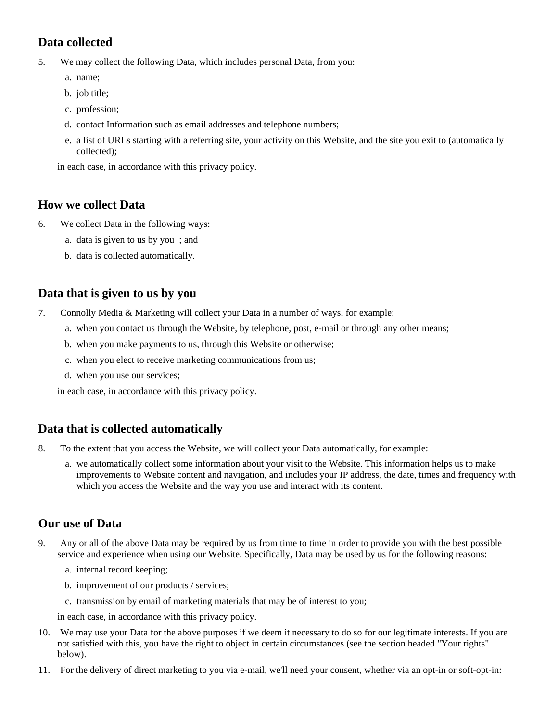# **Data collected**

- 5. We may collect the following Data, which includes personal Data, from you:
	- a. name;
	- b. job title;
	- c. profession;
	- d. contact Information such as email addresses and telephone numbers;
	- e. a list of URLs starting with a referring site, your activity on this Website, and the site you exit to (automatically collected);

in each case, in accordance with this privacy policy.

# **How we collect Data**

- 6. We collect Data in the following ways:
	- a. data is given to us by you ; and
	- b. data is collected automatically.

# **Data that is given to us by you**

- 7. Connolly Media & Marketing will collect your Data in a number of ways, for example:
	- a. when you contact us through the Website, by telephone, post, e-mail or through any other means;
	- b. when you make payments to us, through this Website or otherwise;
	- c. when you elect to receive marketing communications from us;
	- d. when you use our services;

in each case, in accordance with this privacy policy.

# **Data that is collected automatically**

- 8. To the extent that you access the Website, we will collect your Data automatically, for example:
	- a. we automatically collect some information about your visit to the Website. This information helps us to make improvements to Website content and navigation, and includes your IP address, the date, times and frequency with which you access the Website and the way you use and interact with its content.

# **Our use of Data**

- 9. Any or all of the above Data may be required by us from time to time in order to provide you with the best possible service and experience when using our Website. Specifically, Data may be used by us for the following reasons:
	- a. internal record keeping;
	- b. improvement of our products / services;
	- c. transmission by email of marketing materials that may be of interest to you;

in each case, in accordance with this privacy policy.

- 10. We may use your Data for the above purposes if we deem it necessary to do so for our legitimate interests. If you are not satisfied with this, you have the right to object in certain circumstances (see the section headed "Your rights" below).
- 11. For the delivery of direct marketing to you via e-mail, we'll need your consent, whether via an opt-in or soft-opt-in: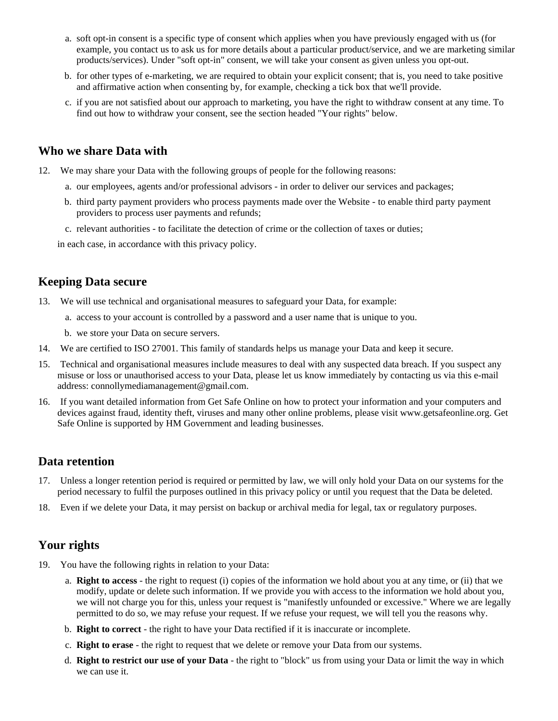- a. soft opt-in consent is a specific type of consent which applies when you have previously engaged with us (for example, you contact us to ask us for more details about a particular product/service, and we are marketing similar products/services). Under "soft opt-in" consent, we will take your consent as given unless you opt-out.
- b. for other types of e-marketing, we are required to obtain your explicit consent; that is, you need to take positive and affirmative action when consenting by, for example, checking a tick box that we'll provide.
- c. if you are not satisfied about our approach to marketing, you have the right to withdraw consent at any time. To find out how to withdraw your consent, see the section headed "Your rights" below.

#### **Who we share Data with**

12. We may share your Data with the following groups of people for the following reasons:

- a. our employees, agents and/or professional advisors in order to deliver our services and packages;
- b. third party payment providers who process payments made over the Website to enable third party payment providers to process user payments and refunds;
- c. relevant authorities to facilitate the detection of crime or the collection of taxes or duties;

in each case, in accordance with this privacy policy.

#### **Keeping Data secure**

- 13. We will use technical and organisational measures to safeguard your Data, for example:
	- a. access to your account is controlled by a password and a user name that is unique to you.
	- b. we store your Data on secure servers.
- 14. We are certified to ISO 27001. This family of standards helps us manage your Data and keep it secure.
- 15. Technical and organisational measures include measures to deal with any suspected data breach. If you suspect any misuse or loss or unauthorised access to your Data, please let us know immediately by contacting us via this e-mail address: connollymediamanagement@gmail.com.
- 16. If you want detailed information from Get Safe Online on how to protect your information and your computers and devices against fraud, identity theft, viruses and many other online problems, please visit www.getsafeonline.org. Get Safe Online is supported by HM Government and leading businesses.

#### **Data retention**

- 17. Unless a longer retention period is required or permitted by law, we will only hold your Data on our systems for the period necessary to fulfil the purposes outlined in this privacy policy or until you request that the Data be deleted.
- 18. Even if we delete your Data, it may persist on backup or archival media for legal, tax or regulatory purposes.

# **Your rights**

- 19. You have the following rights in relation to your Data:
	- a. **Right to access** the right to request (i) copies of the information we hold about you at any time, or (ii) that we modify, update or delete such information. If we provide you with access to the information we hold about you, we will not charge you for this, unless your request is "manifestly unfounded or excessive." Where we are legally permitted to do so, we may refuse your request. If we refuse your request, we will tell you the reasons why.
	- b. **Right to correct** the right to have your Data rectified if it is inaccurate or incomplete.
	- c. **Right to erase** the right to request that we delete or remove your Data from our systems.
	- d. **Right to restrict our use of your Data** the right to "block" us from using your Data or limit the way in which we can use it.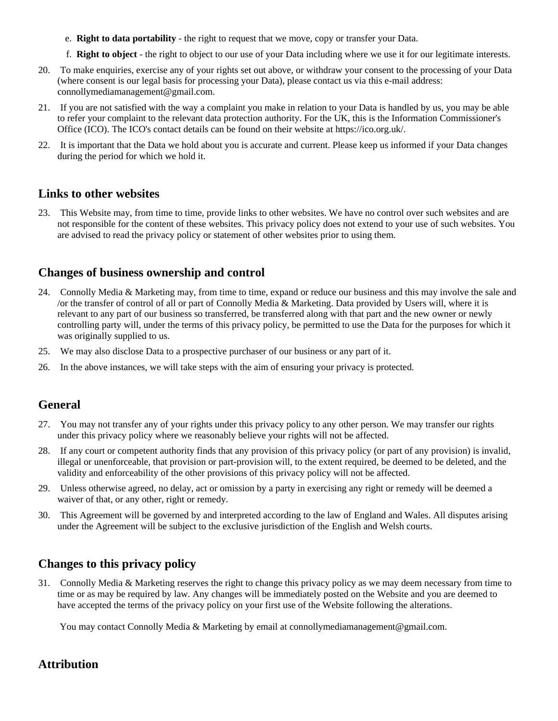- e. **Right to data portability** the right to request that we move, copy or transfer your Data.
- f. **Right to object** the right to object to our use of your Data including where we use it for our legitimate interests.
- 20. To make enquiries, exercise any of your rights set out above, or withdraw your consent to the processing of your Data (where consent is our legal basis for processing your Data), please contact us via this e-mail address: connollymediamanagement@gmail.com.
- 21. If you are not satisfied with the way a complaint you make in relation to your Data is handled by us, you may be able to refer your complaint to the relevant data protection authority. For the UK, this is the Information Commissioner's Office (ICO). The ICO's contact details can be found on their website at https://ico.org.uk/.
- 22. It is important that the Data we hold about you is accurate and current. Please keep us informed if your Data changes during the period for which we hold it.

#### **Links to other websites**

23. This Website may, from time to time, provide links to other websites. We have no control over such websites and are not responsible for the content of these websites. This privacy policy does not extend to your use of such websites. You are advised to read the privacy policy or statement of other websites prior to using them.

# **Changes of business ownership and control**

- 24. Connolly Media & Marketing may, from time to time, expand or reduce our business and this may involve the sale and /or the transfer of control of all or part of Connolly Media & Marketing. Data provided by Users will, where it is relevant to any part of our business so transferred, be transferred along with that part and the new owner or newly controlling party will, under the terms of this privacy policy, be permitted to use the Data for the purposes for which it was originally supplied to us.
- 25. We may also disclose Data to a prospective purchaser of our business or any part of it.
- 26. In the above instances, we will take steps with the aim of ensuring your privacy is protected.

# **General**

- 27. You may not transfer any of your rights under this privacy policy to any other person. We may transfer our rights under this privacy policy where we reasonably believe your rights will not be affected.
- 28. If any court or competent authority finds that any provision of this privacy policy (or part of any provision) is invalid, illegal or unenforceable, that provision or part-provision will, to the extent required, be deemed to be deleted, and the validity and enforceability of the other provisions of this privacy policy will not be affected.
- 29. Unless otherwise agreed, no delay, act or omission by a party in exercising any right or remedy will be deemed a waiver of that, or any other, right or remedy.
- 30. This Agreement will be governed by and interpreted according to the law of England and Wales. All disputes arising under the Agreement will be subject to the exclusive jurisdiction of the English and Welsh courts.

# **Changes to this privacy policy**

31. Connolly Media & Marketing reserves the right to change this privacy policy as we may deem necessary from time to time or as may be required by law. Any changes will be immediately posted on the Website and you are deemed to have accepted the terms of the privacy policy on your first use of the Website following the alterations.

You may contact Connolly Media & Marketing by email at connollymediamanagement@gmail.com.

# **Attribution**